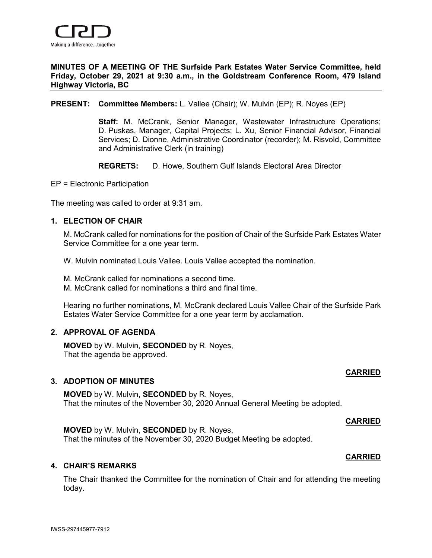

### **MINUTES OF A MEETING OF THE Surfside Park Estates Water Service Committee, held Friday, October 29, 2021 at 9:30 a.m., in the Goldstream Conference Room, 479 Island Highway Victoria, BC**

#### **PRESENT: Committee Members:** L. Vallee (Chair); W. Mulvin (EP); R. Noyes (EP)

**Staff:** M. McCrank, Senior Manager, Wastewater Infrastructure Operations; D. Puskas, Manager, Capital Projects; L. Xu, Senior Financial Advisor, Financial Services; D. Dionne, Administrative Coordinator (recorder); M. Risvold, Committee and Administrative Clerk (in training)

**REGRETS:** D. Howe, Southern Gulf Islands Electoral Area Director

EP = Electronic Participation

The meeting was called to order at 9:31 am.

### **1. ELECTION OF CHAIR**

M. McCrank called for nominations for the position of Chair of the Surfside Park Estates Water Service Committee for a one year term.

W. Mulvin nominated Louis Vallee. Louis Vallee accepted the nomination.

M. McCrank called for nominations a second time.

M. McCrank called for nominations a third and final time.

Hearing no further nominations, M. McCrank declared Louis Vallee Chair of the Surfside Park Estates Water Service Committee for a one year term by acclamation.

#### **2. APPROVAL OF AGENDA**

**MOVED** by W. Mulvin, **SECONDED** by R. Noyes, That the agenda be approved.

#### **3. ADOPTION OF MINUTES**

**MOVED** by W. Mulvin, **SECONDED** by R. Noyes, That the minutes of the November 30, 2020 Annual General Meeting be adopted.

#### **CARRIED**

**CARRIED**

**MOVED** by W. Mulvin, **SECONDED** by R. Noyes, That the minutes of the November 30, 2020 Budget Meeting be adopted.

#### **CARRIED**

## **4. CHAIR'S REMARKS**

The Chair thanked the Committee for the nomination of Chair and for attending the meeting today.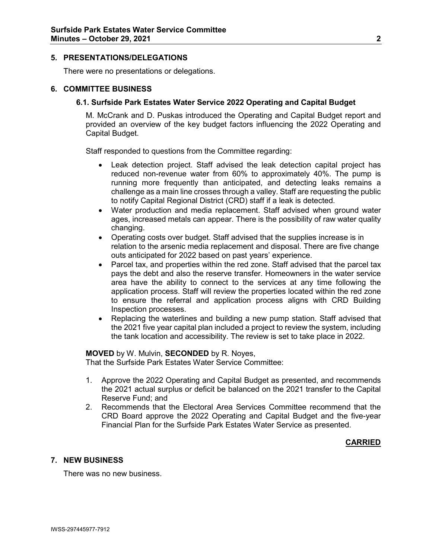### **5. PRESENTATIONS/DELEGATIONS**

There were no presentations or delegations.

#### **6. COMMITTEE BUSINESS**

### **6.1. Surfside Park Estates Water Service 2022 Operating and Capital Budget**

M. McCrank and D. Puskas introduced the Operating and Capital Budget report and provided an overview of the key budget factors influencing the 2022 Operating and Capital Budget.

Staff responded to questions from the Committee regarding:

- Leak detection project. Staff advised the leak detection capital project has reduced non-revenue water from 60% to approximately 40%. The pump is running more frequently than anticipated, and detecting leaks remains a challenge as a main line crosses through a valley. Staff are requesting the public to notify Capital Regional District (CRD) staff if a leak is detected.
- Water production and media replacement. Staff advised when ground water ages, increased metals can appear. There is the possibility of raw water quality changing.
- Operating costs over budget. Staff advised that the supplies increase is in relation to the arsenic media replacement and disposal. There are five change outs anticipated for 2022 based on past years' experience.
- Parcel tax, and properties within the red zone. Staff advised that the parcel tax pays the debt and also the reserve transfer. Homeowners in the water service area have the ability to connect to the services at any time following the application process. Staff will review the properties located within the red zone to ensure the referral and application process aligns with CRD Building Inspection processes.
- Replacing the waterlines and building a new pump station. Staff advised that the 2021 five year capital plan included a project to review the system, including the tank location and accessibility. The review is set to take place in 2022.

#### **MOVED** by W. Mulvin, **SECONDED** by R. Noyes,

That the Surfside Park Estates Water Service Committee:

- 1. Approve the 2022 Operating and Capital Budget as presented, and recommends the 2021 actual surplus or deficit be balanced on the 2021 transfer to the Capital Reserve Fund; and
- 2. Recommends that the Electoral Area Services Committee recommend that the CRD Board approve the 2022 Operating and Capital Budget and the five-year Financial Plan for the Surfside Park Estates Water Service as presented.

## **CARRIED**

#### **7. NEW BUSINESS**

There was no new business.